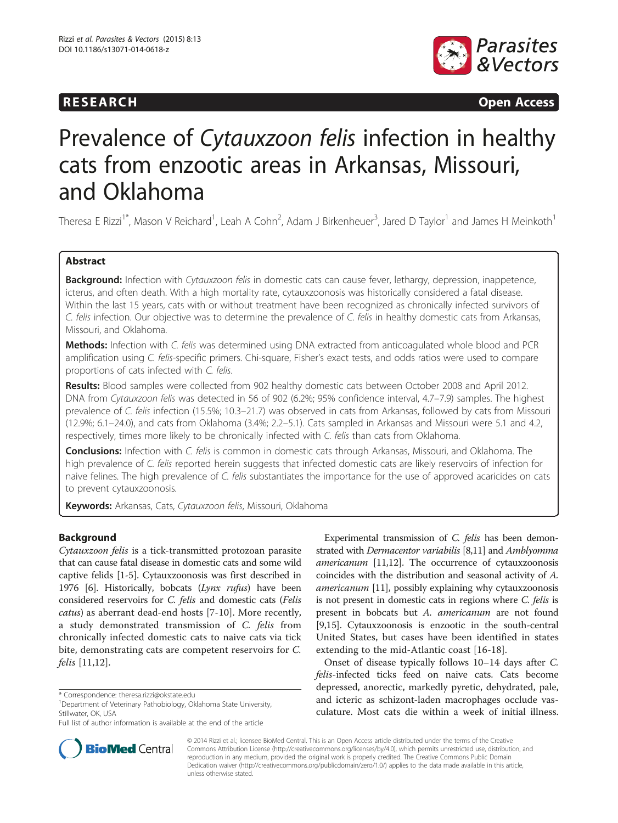### **RESEARCH CHILD CONTROL** CONTROL CONTROL CONTROL CONTROL CONTROL CONTROL CONTROL CONTROL CONTROL CONTROL CONTROL CONTROL CONTROL CONTROL CONTROL CONTROL CONTROL CONTROL CONTROL CONTROL CONTROL CONTROL CONTROL CONTROL CONTR



# Prevalence of Cytauxzoon felis infection in healthy cats from enzootic areas in Arkansas, Missouri, and Oklahoma

Theresa E Rizzi<sup>1\*</sup>, Mason V Reichard<sup>1</sup>, Leah A Cohn<sup>2</sup>, Adam J Birkenheuer<sup>3</sup>, Jared D Taylor<sup>1</sup> and James H Meinkoth<sup>1</sup>

#### Abstract

Background: Infection with Cytauxzoon felis in domestic cats can cause fever, lethargy, depression, inappetence, icterus, and often death. With a high mortality rate, cytauxzoonosis was historically considered a fatal disease. Within the last 15 years, cats with or without treatment have been recognized as chronically infected survivors of C. felis infection. Our objective was to determine the prevalence of C. felis in healthy domestic cats from Arkansas, Missouri, and Oklahoma.

Methods: Infection with C. felis was determined using DNA extracted from anticoagulated whole blood and PCR amplification using C. felis-specific primers. Chi-square, Fisher's exact tests, and odds ratios were used to compare proportions of cats infected with C. felis.

Results: Blood samples were collected from 902 healthy domestic cats between October 2008 and April 2012. DNA from Cytauxzoon felis was detected in 56 of 902 (6.2%; 95% confidence interval, 4.7–7.9) samples. The highest prevalence of C. felis infection (15.5%; 10.3–21.7) was observed in cats from Arkansas, followed by cats from Missouri (12.9%; 6.1–24.0), and cats from Oklahoma (3.4%; 2.2–5.1). Cats sampled in Arkansas and Missouri were 5.1 and 4.2, respectively, times more likely to be chronically infected with C. felis than cats from Oklahoma.

**Conclusions:** Infection with C. felis is common in domestic cats through Arkansas, Missouri, and Oklahoma. The high prevalence of C. felis reported herein suggests that infected domestic cats are likely reservoirs of infection for naive felines. The high prevalence of C. felis substantiates the importance for the use of approved acaricides on cats to prevent cytauxzoonosis.

Keywords: Arkansas, Cats, Cytauxzoon felis, Missouri, Oklahoma

#### Background

Cytauxzoon felis is a tick-transmitted protozoan parasite that can cause fatal disease in domestic cats and some wild captive felids [[1-5\]](#page-4-0). Cytauxzoonosis was first described in 1976 [\[6\]](#page-4-0). Historically, bobcats  $(Lynx \; rufus)$  have been considered reservoirs for C. felis and domestic cats (Felis catus) as aberrant dead-end hosts [\[7](#page-4-0)-[10\]](#page-4-0). More recently, a study demonstrated transmission of C. felis from chronically infected domestic cats to naive cats via tick bite, demonstrating cats are competent reservoirs for C. felis [[11,12](#page-4-0)].

Experimental transmission of C. felis has been demonstrated with Dermacentor variabilis [\[8,11](#page-4-0)] and Amblyomma americanum [[11](#page-4-0),[12](#page-4-0)]. The occurrence of cytauxzoonosis coincides with the distribution and seasonal activity of A. americanum [[11](#page-4-0)], possibly explaining why cytauxzoonosis is not present in domestic cats in regions where C. felis is present in bobcats but A. americanum are not found [[9,15](#page-4-0)]. Cytauxzoonosis is enzootic in the south-central United States, but cases have been identified in states extending to the mid-Atlantic coast [[16-18\]](#page-4-0).

Onset of disease typically follows 10–14 days after C. felis-infected ticks feed on naive cats. Cats become depressed, anorectic, markedly pyretic, dehydrated, pale, and icteric as schizont-laden macrophages occlude vasculature. Most cats die within a week of initial illness.



© 2014 Rizzi et al.; licensee BioMed Central. This is an Open Access article distributed under the terms of the Creative Commons Attribution License [\(http://creativecommons.org/licenses/by/4.0\)](http://creativecommons.org/licenses/by/4.0), which permits unrestricted use, distribution, and reproduction in any medium, provided the original work is properly credited. The Creative Commons Public Domain Dedication waiver [\(http://creativecommons.org/publicdomain/zero/1.0/](http://creativecommons.org/publicdomain/zero/1.0/)) applies to the data made available in this article, unless otherwise stated.

<sup>\*</sup> Correspondence: [theresa.rizzi@okstate.edu](mailto:theresa.rizzi@okstate.edu) <sup>1</sup>

Department of Veterinary Pathobiology, Oklahoma State University, Stillwater, OK, USA

Full list of author information is available at the end of the article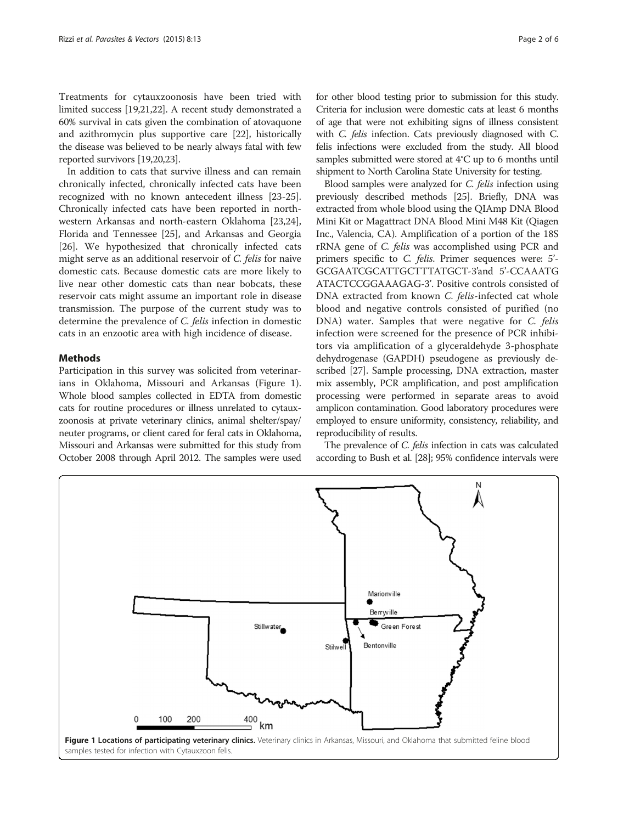<span id="page-1-0"></span>Treatments for cytauxzoonosis have been tried with limited success [\[19](#page-4-0)[,21,22](#page-5-0)]. A recent study demonstrated a 60% survival in cats given the combination of atovaquone and azithromycin plus supportive care [\[22\]](#page-5-0), historically the disease was believed to be nearly always fatal with few reported survivors [[19](#page-4-0)[,20,23\]](#page-5-0).

In addition to cats that survive illness and can remain chronically infected, chronically infected cats have been recognized with no known antecedent illness [\[23-25](#page-5-0)]. Chronically infected cats have been reported in northwestern Arkansas and north-eastern Oklahoma [\[23,24](#page-5-0)], Florida and Tennessee [[25\]](#page-5-0), and Arkansas and Georgia [[26\]](#page-5-0). We hypothesized that chronically infected cats might serve as an additional reservoir of C. felis for naive domestic cats. Because domestic cats are more likely to live near other domestic cats than near bobcats, these reservoir cats might assume an important role in disease transmission. The purpose of the current study was to determine the prevalence of C. felis infection in domestic cats in an enzootic area with high incidence of disease.

#### Methods

Participation in this survey was solicited from veterinarians in Oklahoma, Missouri and Arkansas (Figure 1). Whole blood samples collected in EDTA from domestic cats for routine procedures or illness unrelated to cytauxzoonosis at private veterinary clinics, animal shelter/spay/ neuter programs, or client cared for feral cats in Oklahoma, Missouri and Arkansas were submitted for this study from October 2008 through April 2012. The samples were used for other blood testing prior to submission for this study. Criteria for inclusion were domestic cats at least 6 months of age that were not exhibiting signs of illness consistent with *C. felis* infection. Cats previously diagnosed with *C*. felis infections were excluded from the study. All blood samples submitted were stored at 4°C up to 6 months until shipment to North Carolina State University for testing.

Blood samples were analyzed for C. felis infection using previously described methods [\[25](#page-5-0)]. Briefly, DNA was extracted from whole blood using the QIAmp DNA Blood Mini Kit or Magattract DNA Blood Mini M48 Kit (Qiagen Inc., Valencia, CA). Amplification of a portion of the 18S rRNA gene of C. felis was accomplished using PCR and primers specific to C. felis. Primer sequences were: 5'- GCGAATCGCATTGCTTTATGCT-3'and 5'-CCAAATG ATACTCCGGAAAGAG-3'. Positive controls consisted of DNA extracted from known C. felis-infected cat whole blood and negative controls consisted of purified (no DNA) water. Samples that were negative for C. felis infection were screened for the presence of PCR inhibitors via amplification of a glyceraldehyde 3-phosphate dehydrogenase (GAPDH) pseudogene as previously described [\[27\]](#page-5-0). Sample processing, DNA extraction, master mix assembly, PCR amplification, and post amplification processing were performed in separate areas to avoid amplicon contamination. Good laboratory procedures were employed to ensure uniformity, consistency, reliability, and reproducibility of results.

The prevalence of *C. felis* infection in cats was calculated according to Bush et al. [\[28](#page-5-0)]; 95% confidence intervals were

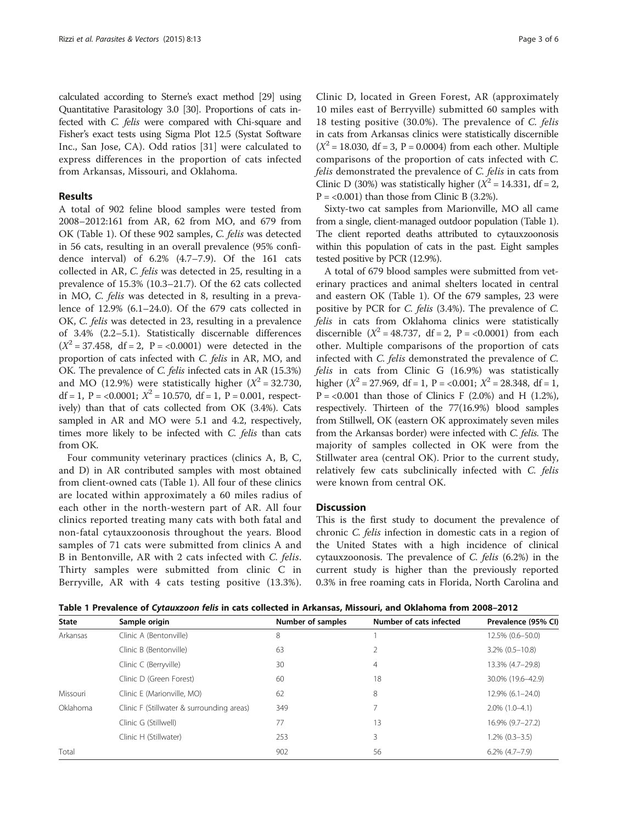calculated according to Sterne's exact method [[29\]](#page-5-0) using Quantitative Parasitology 3.0 [\[30\]](#page-5-0). Proportions of cats infected with C. felis were compared with Chi-square and Fisher's exact tests using Sigma Plot 12.5 (Systat Software Inc., San Jose, CA). Odd ratios [[31](#page-5-0)] were calculated to express differences in the proportion of cats infected from Arkansas, Missouri, and Oklahoma.

#### Results

A total of 902 feline blood samples were tested from 2008–2012:161 from AR, 62 from MO, and 679 from OK (Table 1). Of these 902 samples, C. felis was detected in 56 cats, resulting in an overall prevalence (95% confidence interval) of 6.2% (4.7–7.9). Of the 161 cats collected in AR, C. felis was detected in 25, resulting in a prevalence of 15.3% (10.3–21.7). Of the 62 cats collected in MO, C. felis was detected in 8, resulting in a prevalence of 12.9% (6.1–24.0). Of the 679 cats collected in OK, C. felis was detected in 23, resulting in a prevalence of 3.4% (2.2–5.1). Statistically discernable differences  $(X^2 = 37.458, df = 2, P = 0.0001)$  were detected in the proportion of cats infected with C. felis in AR, MO, and OK. The prevalence of C. felis infected cats in AR (15.3%) and MO (12.9%) were statistically higher  $(X^2 = 32.730,$ df = 1, P = <0.0001;  $X^2$  = 10.570, df = 1, P = 0.001, respectively) than that of cats collected from OK (3.4%). Cats sampled in AR and MO were 5.1 and 4.2, respectively, times more likely to be infected with C. felis than cats from OK.

Four community veterinary practices (clinics A, B, C, and D) in AR contributed samples with most obtained from client-owned cats (Table 1). All four of these clinics are located within approximately a 60 miles radius of each other in the north-western part of AR. All four clinics reported treating many cats with both fatal and non-fatal cytauxzoonosis throughout the years. Blood samples of 71 cats were submitted from clinics A and B in Bentonville, AR with 2 cats infected with C. felis. Thirty samples were submitted from clinic C in Berryville, AR with 4 cats testing positive (13.3%).

Clinic D, located in Green Forest, AR (approximately 10 miles east of Berryville) submitted 60 samples with 18 testing positive (30.0%). The prevalence of C. felis in cats from Arkansas clinics were statistically discernible  $(X^2 = 18.030, df = 3, P = 0.0004)$  from each other. Multiple comparisons of the proportion of cats infected with C. felis demonstrated the prevalence of C. felis in cats from Clinic D (30%) was statistically higher  $(X^2 = 14.331, df = 2,$  $P = <0.001$ ) than those from Clinic B (3.2%).

Sixty-two cat samples from Marionville, MO all came from a single, client-managed outdoor population (Table 1). The client reported deaths attributed to cytauxzoonosis within this population of cats in the past. Eight samples tested positive by PCR (12.9%).

A total of 679 blood samples were submitted from veterinary practices and animal shelters located in central and eastern OK (Table 1). Of the 679 samples, 23 were positive by PCR for C. felis (3.4%). The prevalence of C. felis in cats from Oklahoma clinics were statistically discernible  $(X^2 = 48.737, df = 2, P = <0.0001)$  from each other. Multiple comparisons of the proportion of cats infected with C. felis demonstrated the prevalence of C. felis in cats from Clinic G (16.9%) was statistically higher  $(X^2 = 27.969, df = 1, P = <0.001; X^2 = 28.348, df = 1,$  $P = <0.001$  than those of Clinics F (2.0%) and H (1.2%), respectively. Thirteen of the 77(16.9%) blood samples from Stillwell, OK (eastern OK approximately seven miles from the Arkansas border) were infected with C. felis. The majority of samples collected in OK were from the Stillwater area (central OK). Prior to the current study, relatively few cats subclinically infected with C. felis were known from central OK.

#### **Discussion**

This is the first study to document the prevalence of chronic C. felis infection in domestic cats in a region of the United States with a high incidence of clinical cytauxzoonosis. The prevalence of C. felis (6.2%) in the current study is higher than the previously reported 0.3% in free roaming cats in Florida, North Carolina and

|  |  |  | Table 1 Prevalence of Cytauxzoon felis in cats collected in Arkansas, Missouri, and Oklahoma from 2008-2012 |  |
|--|--|--|-------------------------------------------------------------------------------------------------------------|--|
|  |  |  |                                                                                                             |  |

| <b>State</b> | Sample origin                             | Number of samples | Number of cats infected | Prevalence (95% CI) |  |
|--------------|-------------------------------------------|-------------------|-------------------------|---------------------|--|
| Arkansas     | Clinic A (Bentonville)                    | 8                 |                         | 12.5% (0.6-50.0)    |  |
|              | Clinic B (Bentonville)                    | 63                |                         | $3.2\%$ (0.5-10.8)  |  |
|              | Clinic C (Berryville)                     | 30                | 4                       | 13.3% (4.7-29.8)    |  |
|              | Clinic D (Green Forest)                   | 60                | 18                      | 30.0% (19.6-42.9)   |  |
| Missouri     | Clinic E (Marionville, MO)                | 62                | 8                       | $12.9\%$ (6.1-24.0) |  |
| Oklahoma     | Clinic F (Stillwater & surrounding areas) | 349               |                         | $2.0\%$ (1.0-4.1)   |  |
|              | Clinic G (Stillwell)                      | 77                | 13                      | 16.9% (9.7-27.2)    |  |
|              | Clinic H (Stillwater)                     | 253               | 3                       | $1.2\%$ (0.3-3.5)   |  |
| Total        |                                           | 902               | 56                      | $6.2\%$ $(4.7-7.9)$ |  |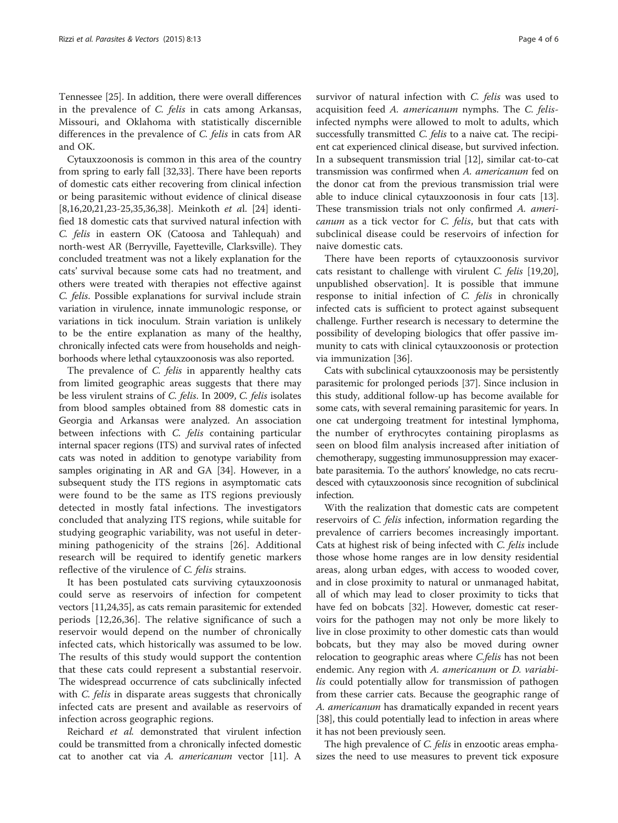Tennessee [[25](#page-5-0)]. In addition, there were overall differences in the prevalence of C. felis in cats among Arkansas, Missouri, and Oklahoma with statistically discernible differences in the prevalence of C. felis in cats from AR and OK.

Cytauxzoonosis is common in this area of the country from spring to early fall [\[32,33\]](#page-5-0). There have been reports of domestic cats either recovering from clinical infection or being parasitemic without evidence of clinical disease [[8,16,](#page-4-0)[20,21,23-25,35,36,38\]](#page-5-0). Meinkoth et al. [\[24\]](#page-5-0) identified 18 domestic cats that survived natural infection with C. felis in eastern OK (Catoosa and Tahlequah) and north-west AR (Berryville, Fayetteville, Clarksville). They concluded treatment was not a likely explanation for the cats' survival because some cats had no treatment, and others were treated with therapies not effective against C. felis. Possible explanations for survival include strain variation in virulence, innate immunologic response, or variations in tick inoculum. Strain variation is unlikely to be the entire explanation as many of the healthy, chronically infected cats were from households and neighborhoods where lethal cytauxzoonosis was also reported.

The prevalence of *C. felis* in apparently healthy cats from limited geographic areas suggests that there may be less virulent strains of C. felis. In 2009, C. felis isolates from blood samples obtained from 88 domestic cats in Georgia and Arkansas were analyzed. An association between infections with C. felis containing particular internal spacer regions (ITS) and survival rates of infected cats was noted in addition to genotype variability from samples originating in AR and GA [\[34\]](#page-5-0). However, in a subsequent study the ITS regions in asymptomatic cats were found to be the same as ITS regions previously detected in mostly fatal infections. The investigators concluded that analyzing ITS regions, while suitable for studying geographic variability, was not useful in determining pathogenicity of the strains [[26\]](#page-5-0). Additional research will be required to identify genetic markers reflective of the virulence of C. felis strains.

It has been postulated cats surviving cytauxzoonosis could serve as reservoirs of infection for competent vectors [\[11,](#page-4-0)[24,35](#page-5-0)], as cats remain parasitemic for extended periods [\[12](#page-4-0)[,26](#page-5-0),[36\]](#page-5-0). The relative significance of such a reservoir would depend on the number of chronically infected cats, which historically was assumed to be low. The results of this study would support the contention that these cats could represent a substantial reservoir. The widespread occurrence of cats subclinically infected with *C. felis* in disparate areas suggests that chronically infected cats are present and available as reservoirs of infection across geographic regions.

Reichard et al. demonstrated that virulent infection could be transmitted from a chronically infected domestic cat to another cat via A. americanum vector [\[11\]](#page-4-0). A

survivor of natural infection with C. felis was used to acquisition feed A. americanum nymphs. The C. felisinfected nymphs were allowed to molt to adults, which successfully transmitted C. felis to a naive cat. The recipient cat experienced clinical disease, but survived infection. In a subsequent transmission trial [\[12\]](#page-4-0), similar cat-to-cat transmission was confirmed when A. americanum fed on the donor cat from the previous transmission trial were able to induce clinical cytauxzoonosis in four cats [[13](#page-4-0)]. These transmission trials not only confirmed A. americanum as a tick vector for C. felis, but that cats with subclinical disease could be reservoirs of infection for naive domestic cats.

There have been reports of cytauxzoonosis survivor cats resistant to challenge with virulent C. felis [\[19](#page-4-0)[,20](#page-5-0)], unpublished observation]. It is possible that immune response to initial infection of C. felis in chronically infected cats is sufficient to protect against subsequent challenge. Further research is necessary to determine the possibility of developing biologics that offer passive immunity to cats with clinical cytauxzoonosis or protection via immunization [[36](#page-5-0)].

Cats with subclinical cytauxzoonosis may be persistently parasitemic for prolonged periods [\[37\]](#page-5-0). Since inclusion in this study, additional follow-up has become available for some cats, with several remaining parasitemic for years. In one cat undergoing treatment for intestinal lymphoma, the number of erythrocytes containing piroplasms as seen on blood film analysis increased after initiation of chemotherapy, suggesting immunosuppression may exacerbate parasitemia. To the authors' knowledge, no cats recrudesced with cytauxzoonosis since recognition of subclinical infection.

With the realization that domestic cats are competent reservoirs of C. felis infection, information regarding the prevalence of carriers becomes increasingly important. Cats at highest risk of being infected with C. felis include those whose home ranges are in low density residential areas, along urban edges, with access to wooded cover, and in close proximity to natural or unmanaged habitat, all of which may lead to closer proximity to ticks that have fed on bobcats [\[32\]](#page-5-0). However, domestic cat reservoirs for the pathogen may not only be more likely to live in close proximity to other domestic cats than would bobcats, but they may also be moved during owner relocation to geographic areas where *C.felis* has not been endemic. Any region with A. americanum or D. variabilis could potentially allow for transmission of pathogen from these carrier cats. Because the geographic range of A. americanum has dramatically expanded in recent years [[38](#page-5-0)], this could potentially lead to infection in areas where it has not been previously seen.

The high prevalence of *C. felis* in enzootic areas emphasizes the need to use measures to prevent tick exposure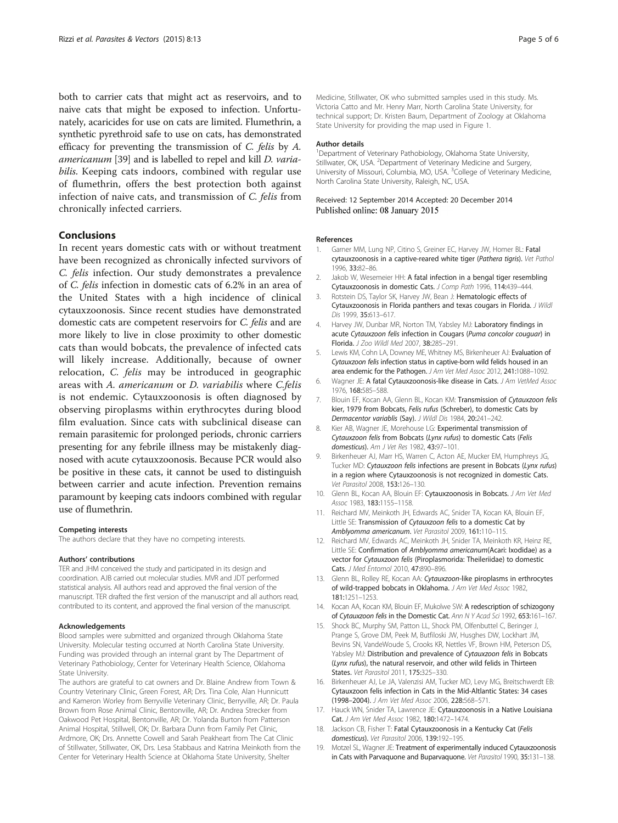<span id="page-4-0"></span>both to carrier cats that might act as reservoirs, and to naive cats that might be exposed to infection. Unfortunately, acaricides for use on cats are limited. Flumethrin, a synthetic pyrethroid safe to use on cats, has demonstrated efficacy for preventing the transmission of C. felis by A. americanum [\[39](#page-5-0)] and is labelled to repel and kill D. variabilis. Keeping cats indoors, combined with regular use of flumethrin, offers the best protection both against infection of naive cats, and transmission of C. felis from chronically infected carriers.

#### Conclusions

In recent years domestic cats with or without treatment have been recognized as chronically infected survivors of C. felis infection. Our study demonstrates a prevalence of C. felis infection in domestic cats of 6.2% in an area of the United States with a high incidence of clinical cytauxzoonosis. Since recent studies have demonstrated domestic cats are competent reservoirs for C. felis and are more likely to live in close proximity to other domestic cats than would bobcats, the prevalence of infected cats will likely increase. Additionally, because of owner relocation, C. felis may be introduced in geographic areas with A. americanum or D. variabilis where C.felis is not endemic. Cytauxzoonosis is often diagnosed by observing piroplasms within erythrocytes during blood film evaluation. Since cats with subclinical disease can remain parasitemic for prolonged periods, chronic carriers presenting for any febrile illness may be mistakenly diagnosed with acute cytauxzoonosis. Because PCR would also be positive in these cats, it cannot be used to distinguish between carrier and acute infection. Prevention remains paramount by keeping cats indoors combined with regular use of flumethrin.

#### Competing interests

The authors declare that they have no competing interests.

#### Authors' contributions

TER and JHM conceived the study and participated in its design and coordination. AJB carried out molecular studies. MVR and JDT performed statistical analysis. All authors read and approved the final version of the manuscript. TER drafted the first version of the manuscript and all authors read, contributed to its content, and approved the final version of the manuscript.

#### Acknowledgements

Blood samples were submitted and organized through Oklahoma State University. Molecular testing occurred at North Carolina State University. Funding was provided through an internal grant by The Department of Veterinary Pathobiology, Center for Veterinary Health Science, Oklahoma State University.

The authors are grateful to cat owners and Dr. Blaine Andrew from Town & Country Veterinary Clinic, Green Forest, AR; Drs. Tina Cole, Alan Hunnicutt and Kameron Worley from Berryville Veterinary Clinic, Berryville, AR; Dr. Paula Brown from Rose Animal Clinic, Bentonville, AR; Dr. Andrea Strecker from Oakwood Pet Hospital, Bentonville, AR; Dr. Yolanda Burton from Patterson Animal Hospital, Stillwell, OK; Dr. Barbara Dunn from Family Pet Clinic, Ardmore, OK; Drs. Annette Cowell and Sarah Peakheart from The Cat Clinic of Stillwater, Stillwater, OK, Drs. Lesa Stabbaus and Katrina Meinkoth from the Center for Veterinary Health Science at Oklahoma State University, Shelter

Medicine, Stillwater, OK who submitted samples used in this study. Ms. Victoria Catto and Mr. Henry Marr, North Carolina State University, for technical support; Dr. Kristen Baum, Department of Zoology at Oklahoma State University for providing the map used in Figure [1.](#page-1-0)

#### Author details

<sup>1</sup>Department of Veterinary Pathobiology, Oklahoma State University Stillwater, OK, USA. <sup>2</sup>Department of Veterinary Medicine and Surgery, University of Missouri, Columbia, MO, USA. <sup>3</sup>College of Veterinary Medicine North Carolina State University, Raleigh, NC, USA.

Received: 12 September 2014 Accepted: 20 December 2014 Published online: 08 January 2015

#### References

- 1. Garner MM, Lung NP, Citino S, Greiner EC, Harvey JW, Homer BL: Fatal cytauxzoonosis in a captive-reared white tiger (Pathera tigris). Vet Pathol 1996, 33:82–86.
- 2. Jakob W, Wesemeier HH: A fatal infection in a bengal tiger resembling Cytauxzoonosis in domestic Cats. J Comp Path 1996, 114:439–444.
- 3. Rotstein DS, Taylor SK, Harvey JW, Bean J: Hematologic effects of Cytauxzoonosis in Florida panthers and texas cougars in Florida. J Wildl Dis 1999, 35:613–617.
- 4. Harvey JW, Dunbar MR, Norton TM, Yabsley MJ: Laboratory findings in acute Cytauxzoon felis infection in Cougars (Puma concolor couguar) in Florida. J Zoo Wildl Med 2007, 38:285–291.
- 5. Lewis KM, Cohn LA, Downey ME, Whitney MS, Birkenheuer AJ: Evaluation of Cytauxzoon felis infection status in captive-born wild felids housed in an area endemic for the Pathogen. J Am Vet Med Assoc 2012, 241:1088–1092.
- 6. Wagner JE: A fatal Cytauxzoonosis-like disease in Cats. J Am VetMed Assoc 1976, 168:585-588.
- 7. Blouin EF, Kocan AA, Glenn BL, Kocan KM: Transmission of Cytauxzoon felis kier, 1979 from Bobcats, Felis rufus (Schreber), to domestic Cats by Dermacentor variablis (Say). J Wildl Dis 1984, 20:241–242.
- 8. Kier AB, Wagner JE, Morehouse LG: Experimental transmission of Cytauxzoon felis from Bobcats (Lynx rufus) to domestic Cats (Felis domesticus). Am J Vet Res 1982, 43:97–101.
- 9. Birkenheuer AJ, Marr HS, Warren C, Acton AE, Mucker EM, Humphreys JG, Tucker MD: Cytauxzoon felis infections are present in Bobcats (Lynx rufus) in a region where Cytauxzoonosis is not recognized in domestic Cats. Vet Parasitol 2008, 153:126–130.
- 10. Glenn BL, Kocan AA, Blouin EF: Cytauxzoonosis in Bobcats. J Am Vet Med Assoc 1983, 183:1155–1158.
- 11. Reichard MV, Meinkoth JH, Edwards AC, Snider TA, Kocan KA, Blouin EF, Little SE: Transmission of Cytauxzoon felis to a domestic Cat by Amblyomma americanum. Vet Parasitol 2009, 161:110–115.
- 12. Reichard MV, Edwards AC, Meinkoth JH, Snider TA, Meinkoth KR, Heinz RE, Little SE: Confirmation of Amblyomma americanum(Acari: Ixodidae) as a vector for Cytauxzoon felis (Piroplasmorida: Theileriidae) to domestic Cats. J Med Entomol 2010, 47:890–896.
- 13. Glenn BL, Rolley RE, Kocan AA: Cytauxzoon-like piroplasms in erthrocytes of wild-trapped bobcats in Oklahoma. J Am Vet Med Assoc 1982, 181:1251–1253.
- 14. Kocan AA, Kocan KM, Blouin EF, Mukolwe SW: A redescription of schizogony of Cytauxzoon felis in the Domestic Cat. Ann N Y Acad Sci 1992, 653:161–167.
- 15. Shock BC, Murphy SM, Patton LL, Shock PM, Olfenbuttel C, Beringer J, Prange S, Grove DM, Peek M, Butfiloski JW, Husghes DW, Lockhart JM, Bevins SN, VandeWoude S, Crooks KR, Nettles VF, Brown HM, Peterson DS, Yabsley MJ: Distribution and prevalence of Cytauxzoon felis in Bobcats (Lynx rufus), the natural reservoir, and other wild felids in Thirteen States. Vet Parasitol 2011, 175:325–330.
- 16. Birkenheuer AJ, Le JA, Valenzisi AM, Tucker MD, Levy MG, Breitschwerdt EB: Cytauxzoon felis infection in Cats in the Mid-Altlantic States: 34 cases (1998–2004). J Am Vet Med Assoc 2006, 228:568–571.
- 17. Hauck WN, Snider TA, Lawrence JE: Cytauxzoonosis in a Native Louisiana Cat. J Am Vet Med Assoc 1982, 180:1472–1474.
- 18. Jackson CB, Fisher T: Fatal Cytauxzoonosis in a Kentucky Cat (Felis domesticus). Vet Parasitol 2006, 139:192–195.
- 19. Motzel SL, Wagner JE: Treatment of experimentally induced Cytauxzoonosis in Cats with Parvaquone and Buparvaquone. Vet Parasitol 1990, 35:131–138.